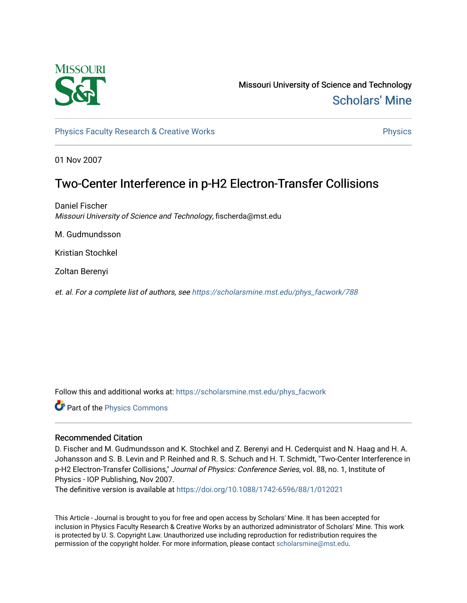

Missouri University of Science and Technology [Scholars' Mine](https://scholarsmine.mst.edu/) 

[Physics Faculty Research & Creative Works](https://scholarsmine.mst.edu/phys_facwork) **Physics** Physics

01 Nov 2007

## Two-Center Interference in p-H2 Electron-Transfer Collisions

Daniel Fischer Missouri University of Science and Technology, fischerda@mst.edu

M. Gudmundsson

Kristian Stochkel

Zoltan Berenyi

et. al. For a complete list of authors, see [https://scholarsmine.mst.edu/phys\\_facwork/788](https://scholarsmine.mst.edu/phys_facwork/788)

Follow this and additional works at: [https://scholarsmine.mst.edu/phys\\_facwork](https://scholarsmine.mst.edu/phys_facwork?utm_source=scholarsmine.mst.edu%2Fphys_facwork%2F788&utm_medium=PDF&utm_campaign=PDFCoverPages) 

Part of the [Physics Commons](http://network.bepress.com/hgg/discipline/193?utm_source=scholarsmine.mst.edu%2Fphys_facwork%2F788&utm_medium=PDF&utm_campaign=PDFCoverPages)

### Recommended Citation

D. Fischer and M. Gudmundsson and K. Stochkel and Z. Berenyi and H. Cederquist and N. Haag and H. A. Johansson and S. B. Levin and P. Reinhed and R. S. Schuch and H. T. Schmidt, "Two-Center Interference in p-H2 Electron-Transfer Collisions," Journal of Physics: Conference Series, vol. 88, no. 1, Institute of Physics - IOP Publishing, Nov 2007.

The definitive version is available at <https://doi.org/10.1088/1742-6596/88/1/012021>

This Article - Journal is brought to you for free and open access by Scholars' Mine. It has been accepted for inclusion in Physics Faculty Research & Creative Works by an authorized administrator of Scholars' Mine. This work is protected by U. S. Copyright Law. Unauthorized use including reproduction for redistribution requires the permission of the copyright holder. For more information, please contact [scholarsmine@mst.edu](mailto:scholarsmine@mst.edu).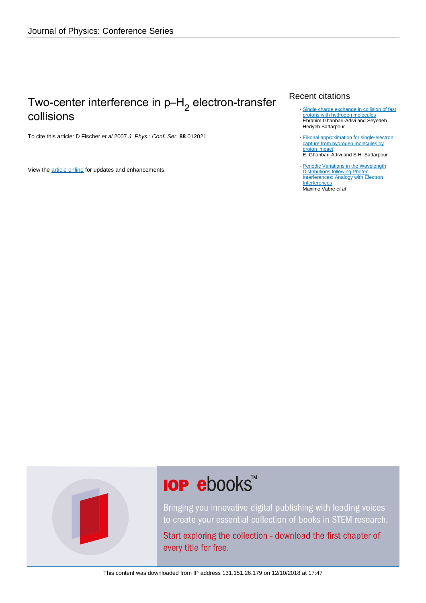# Two-center interference in p–H<sub>2</sub> electron-transfer collisions

To cite this article: D Fischer et al 2007 J. Phys.: Conf. Ser. **88** 012021

View the [article online](https://doi.org/10.1088/1742-6596/88/1/012021) for updates and enhancements.

### Recent citations

- [Single charge exchange in collision of fast](http://dx.doi.org/10.1142/S0218301315500950) [protons with hydrogen molecules](http://dx.doi.org/10.1142/S0218301315500950) Ebrahim Ghanbari-Adivi and Seyedeh Hedyeh Sattarpour
- [Eikonal approximation for single-electron](http://dx.doi.org/10.1080/00268976.2015.1021727) [capture from hydrogen molecules by](http://dx.doi.org/10.1080/00268976.2015.1021727) [proton impact](http://dx.doi.org/10.1080/00268976.2015.1021727) E. Ghanbari-Adivi and S.H. Sattarpour -
- [Periodic Variations in the Wavelength](http://dx.doi.org/10.5402/2012/174952) **[Distributions following Photon](http://dx.doi.org/10.5402/2012/174952)** [Interferences: Analogy with Electron](http://dx.doi.org/10.5402/2012/174952) **[Interferences](http://dx.doi.org/10.5402/2012/174952)** Maxime Vabre et al

# **IOP ebooks**™

Bringing you innovative digital publishing with leading voices to create your essential collection of books in STEM research.

Start exploring the collection - download the first chapter of every title for free.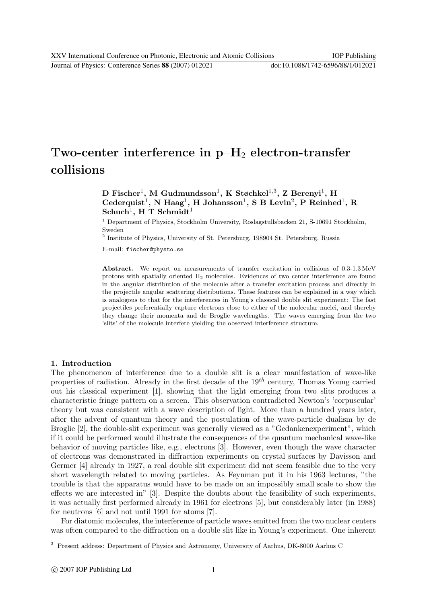Journal of Physics: Conference Series **88** (2007) 012021 doi:10.1088/1742-6596/88/1/012021

# Two-center interference in  $p-H_2$  electron-transfer collisions

### ${\bf D}$  Fischer<sup>1</sup>, M Gudmundsson<sup>1</sup>, K Støchkel<sup>1,3</sup>, Z Berenyi<sup>1</sup>, H  $\text{Cederquist}^1$ , N Haag<sup>1</sup>, H Johansson<sup>1</sup>, S B Levin<sup>2</sup>, P Reinhed<sup>1</sup>, R  $Schuch<sup>1</sup>$ , H T  $Schmidt<sup>1</sup>$

<sup>1</sup> Department of Physics, Stockholm University, Roslagstullsbacken 21, S-10691 Stockholm, Sweden

2 Institute of Physics, University of St. Petersburg, 198904 St. Petersburg, Russia

E-mail: fischer@physto.se

Abstract. We report on measurements of transfer excitation in collisions of 0.3-1.3 MeV protons with spatially oriented H<sup>2</sup> molecules. Evidences of two center interference are found in the angular distribution of the molecule after a transfer excitation process and directly in the projectile angular scattering distributions. These features can be explained in a way which is analogous to that for the interferences in Young's classical double slit experiment: The fast projectiles preferentially capture electrons close to either of the molecular nuclei, and thereby they change their momenta and de Broglie wavelengths. The waves emerging from the two 'slits' of the molecule interfere yielding the observed interference structure.

#### 1. Introduction

The phenomenon of interference due to a double slit is a clear manifestation of wave-like properties of radiation. Already in the first decade of the  $19<sup>th</sup>$  century, Thomas Young carried out his classical experiment [1], showing that the light emerging from two slits produces a characteristic fringe pattern on a screen. This observation contradicted Newton's 'corpuscular' theory but was consistent with a wave description of light. More than a hundred years later, after the advent of quantum theory and the postulation of the wave-particle dualism by de Broglie [2], the double-slit experiment was generally viewed as a "Gedankenexperiment", which if it could be performed would illustrate the consequences of the quantum mechanical wave-like behavior of moving particles like, e.g., electrons [3]. However, even though the wave character of electrons was demonstrated in diffraction experiments on crystal surfaces by Davisson and Germer [4] already in 1927, a real double slit experiment did not seem feasible due to the very short wavelength related to moving particles. As Feynman put it in his 1963 lectures, "the trouble is that the apparatus would have to be made on an impossibly small scale to show the effects we are interested in" [3]. Despite the doubts about the feasibility of such experiments, it was actually first performed already in 1961 for electrons [5], but considerably later (in 1988) for neutrons [6] and not until 1991 for atoms [7].

For diatomic molecules, the interference of particle waves emitted from the two nuclear centers was often compared to the diffraction on a double slit like in Young's experiment. One inherent

<sup>3</sup> Present address: Department of Physics and Astronomy, University of Aarhus, DK-8000 Aarhus C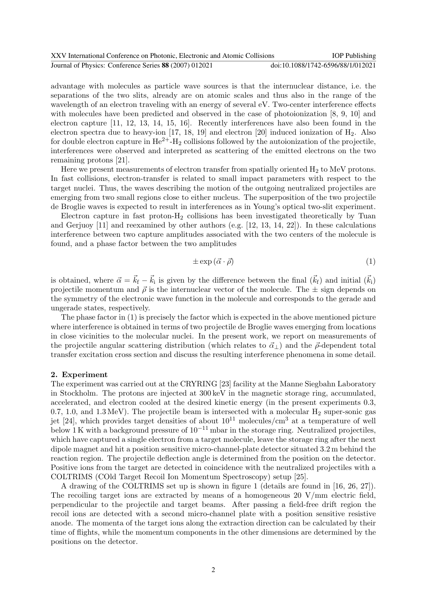| XXV International Conference on Photonic, Electronic and Atomic Collisions | <b>IOP</b> Publishing             |
|----------------------------------------------------------------------------|-----------------------------------|
| Journal of Physics: Conference Series 88 (2007) 012021                     | doi:10.1088/1742-6596/88/1/012021 |

advantage with molecules as particle wave sources is that the internuclear distance, i.e. the separations of the two slits, already are on atomic scales and thus also in the range of the wavelength of an electron traveling with an energy of several eV. Two-center interference effects with molecules have been predicted and observed in the case of photoionization [8, 9, 10] and electron capture [11, 12, 13, 14, 15, 16]. Recently interferences have also been found in the electron spectra due to heavy-ion [17, 18, 19] and electron [20] induced ionization of H2. Also for double electron capture in  $\text{He}^{2+}-\text{H}_2$  collisions followed by the autoionization of the projectile, interferences were observed and interpreted as scattering of the emitted electrons on the two remaining protons [21].

Here we present measurements of electron transfer from spatially oriented  $H_2$  to MeV protons. In fast collisions, electron-transfer is related to small impact parameters with respect to the target nuclei. Thus, the waves describing the motion of the outgoing neutralized projectiles are emerging from two small regions close to either nucleus. The superposition of the two projectile de Broglie waves is expected to result in interferences as in Young's optical two-slit experiment.

Electron capture in fast proton- $H_2$  collisions has been investigated theoretically by Tuan and Gerjuoy [11] and reexamined by other authors (e.g. [12, 13, 14, 22]). In these calculations interference between two capture amplitudes associated with the two centers of the molecule is found, and a phase factor between the two amplitudes

$$
\pm \exp\left(\vec{\alpha} \cdot \vec{\rho}\right) \tag{1}
$$

is obtained, where  $\vec{\alpha} = \vec{k}_{f} - \vec{k}_{i}$  is given by the difference between the final  $(\vec{k}_{f})$  and initial  $(\vec{k}_{i})$ projectile momentum and  $\vec{\rho}$  is the internuclear vector of the molecule. The  $\pm$  sign depends on the symmetry of the electronic wave function in the molecule and corresponds to the gerade and ungerade states, respectively.

The phase factor in (1) is precisely the factor which is expected in the above mentioned picture where interference is obtained in terms of two projectile de Broglie waves emerging from locations in close vicinities to the molecular nuclei. In the present work, we report on measurements of the projectile angular scattering distribution (which relates to  $\vec{\alpha}_{\perp}$ ) and the  $\vec{\rho}$ -dependent total transfer excitation cross section and discuss the resulting interference phenomena in some detail.

#### 2. Experiment

The experiment was carried out at the CRYRING [23] facility at the Manne Siegbahn Laboratory in Stockholm. The protons are injected at 300 keV in the magnetic storage ring, accumulated, accelerated, and electron cooled at the desired kinetic energy (in the present experiments 0.3, 0.7, 1.0, and 1.3 MeV). The projectile beam is intersected with a molecular  $H_2$  super-sonic gas jet [24], which provides target densities of about  $10^{11}$  molecules/cm<sup>3</sup> at a temperature of well below 1 K with a background pressure of  $10^{-11}$  mbar in the storage ring. Neutralized projectiles, which have captured a single electron from a target molecule, leave the storage ring after the next dipole magnet and hit a position sensitive micro-channel-plate detector situated 3.2 m behind the reaction region. The projectile deflection angle is determined from the position on the detector. Positive ions from the target are detected in coincidence with the neutralized projectiles with a COLTRIMS (COld Target Recoil Ion Momentum Spectroscopy) setup [25].

A drawing of the COLTRIMS set up is shown in figure 1 (details are found in [16, 26, 27]). The recoiling target ions are extracted by means of a homogeneous 20 V/mm electric field, perpendicular to the projectile and target beams. After passing a field-free drift region the recoil ions are detected with a second micro-channel plate with a position sensitive resistive anode. The momenta of the target ions along the extraction direction can be calculated by their time of flights, while the momentum components in the other dimensions are determined by the positions on the detector.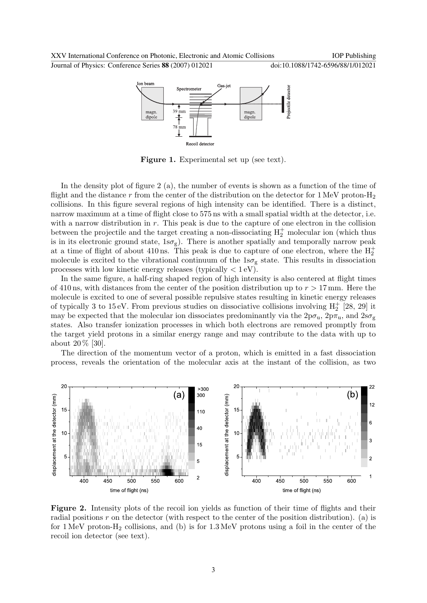

Figure 1. Experimental set up (see text).

In the density plot of figure 2 (a), the number of events is shown as a function of the time of flight and the distance r from the center of the distribution on the detector for 1 MeV proton- $H_2$ collisions. In this figure several regions of high intensity can be identified. There is a distinct, narrow maximum at a time of flight close to 575 ns with a small spatial width at the detector, i.e. with a narrow distribution in  $r$ . This peak is due to the capture of one electron in the collision between the projectile and the target creating a non-dissociating  $H_2^+$  molecular ion (which thus is in its electronic ground state,  $1s\sigma_{g}$ . There is another spatially and temporally narrow peak at a time of flight of about 410 ns. This peak is due to capture of one electron, where the  $H_2^+$ molecule is excited to the vibrational continuum of the  $1s\sigma_{g}$  state. This results in dissociation processes with low kinetic energy releases (typically  $\langle 1 \text{eV} \rangle$ ).

In the same figure, a half-ring shaped region of high intensity is also centered at flight times of 410 ns, with distances from the center of the position distribution up to  $r > 17$  mm. Here the molecule is excited to one of several possible repulsive states resulting in kinetic energy releases of typically 3 to 15 eV. From previous studies on dissociative collisions involving  $H_2^+$  [28, 29] it may be expected that the molecular ion dissociates predominantly via the  $2p\sigma_u$ ,  $2p\pi_u$ , and  $2s\sigma_g$ states. Also transfer ionization processes in which both electrons are removed promptly from the target yield protons in a similar energy range and may contribute to the data with up to about 20 % [30].

The direction of the momentum vector of a proton, which is emitted in a fast dissociation process, reveals the orientation of the molecular axis at the instant of the collision, as two



Figure 2. Intensity plots of the recoil ion yields as function of their time of flights and their radial positions  $r$  on the detector (with respect to the center of the position distribution). (a) is for  $1 \text{ MeV}$  proton-H<sub>2</sub> collisions, and (b) is for  $1.3 \text{ MeV}$  protons using a foil in the center of the recoil ion detector (see text).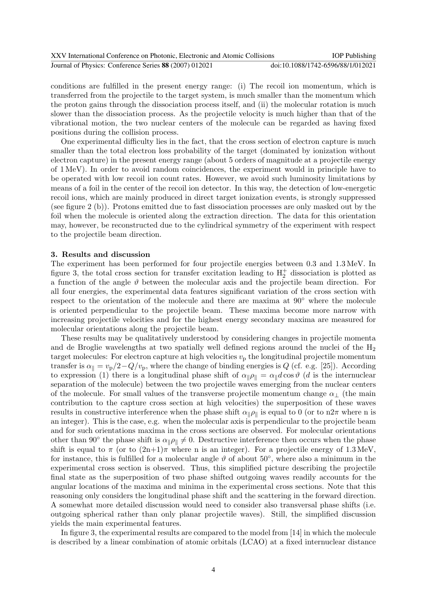| XXV International Conference on Photonic, Electronic and Atomic Collisions | <b>IOP</b> Publishing             |
|----------------------------------------------------------------------------|-----------------------------------|
| Journal of Physics: Conference Series 88 (2007) 012021                     | doi:10.1088/1742-6596/88/1/012021 |

conditions are fulfilled in the present energy range: (i) The recoil ion momentum, which is transferred from the projectile to the target system, is much smaller than the momentum which the proton gains through the dissociation process itself, and (ii) the molecular rotation is much slower than the dissociation process. As the projectile velocity is much higher than that of the vibrational motion, the two nuclear centers of the molecule can be regarded as having fixed positions during the collision process.

One experimental difficulty lies in the fact, that the cross section of electron capture is much smaller than the total electron loss probability of the target (dominated by ionization without electron capture) in the present energy range (about 5 orders of magnitude at a projectile energy of 1 MeV). In order to avoid random coincidences, the experiment would in principle have to be operated with low recoil ion count rates. However, we avoid such luminosity limitations by means of a foil in the center of the recoil ion detector. In this way, the detection of low-energetic recoil ions, which are mainly produced in direct target ionization events, is strongly suppressed (see figure 2 (b)). Protons emitted due to fast dissociation processes are only masked out by the foil when the molecule is oriented along the extraction direction. The data for this orientation may, however, be reconstructed due to the cylindrical symmetry of the experiment with respect to the projectile beam direction.

#### 3. Results and discussion

The experiment has been performed for four projectile energies between 0.3 and 1.3 MeV. In figure 3, the total cross section for transfer excitation leading to  $H_2^+$  dissociation is plotted as a function of the angle  $\vartheta$  between the molecular axis and the projectile beam direction. For all four energies, the experimental data features significant variation of the cross section with respect to the orientation of the molecule and there are maxima at 90◦ where the molecule is oriented perpendicular to the projectile beam. These maxima become more narrow with increasing projectile velocities and for the highest energy secondary maxima are measured for molecular orientations along the projectile beam.

These results may be qualitatively understood by considering changes in projectile momenta and de Broglie wavelengths at two spatially well defined regions around the nuclei of the  $H_2$ target molecules: For electron capture at high velocities  $v_p$  the longitudinal projectile momentum transfer is  $\alpha_{\parallel} = v_{\rm p}/2 - Q/v_{\rm p}$ , where the change of binding energies is Q (cf. e.g. [25]). According to expression (1) there is a longitudinal phase shift of  $\alpha_{\parallel} \rho_{\parallel} = \alpha_{\parallel} d \cos \vartheta$  (d is the internuclear separation of the molecule) between the two projectile waves emerging from the nuclear centers of the molecule. For small values of the transverse projectile momentum change  $\alpha_{\perp}$  (the main contribution to the capture cross section at high velocities) the superposition of these waves results in constructive interference when the phase shift  $\alpha_{\parallel} \rho_{\parallel}$  is equal to 0 (or to n2π where n is an integer). This is the case, e.g. when the molecular axis is perpendicular to the projectile beam and for such orientations maxima in the cross sections are observed. For molecular orientations other than 90° the phase shift is  $\alpha_{\parallel} \rho_{\parallel} \neq 0$ . Destructive interference then occurs when the phase shift is equal to  $\pi$  (or to  $(2n+1)\pi$  where n is an integer). For a projectile energy of 1.3 MeV, for instance, this is fulfilled for a molecular angle  $\vartheta$  of about 50 $\degree$ , where also a minimum in the experimental cross section is observed. Thus, this simplified picture describing the projectile final state as the superposition of two phase shifted outgoing waves readily accounts for the angular locations of the maxima and minima in the experimental cross sections. Note that this reasoning only considers the longitudinal phase shift and the scattering in the forward direction. A somewhat more detailed discussion would need to consider also transversal phase shifts (i.e. outgoing spherical rather than only planar projectile waves). Still, the simplified discussion yields the main experimental features.

In figure 3, the experimental results are compared to the model from [14] in which the molecule is described by a linear combination of atomic orbitals (LCAO) at a fixed internuclear distance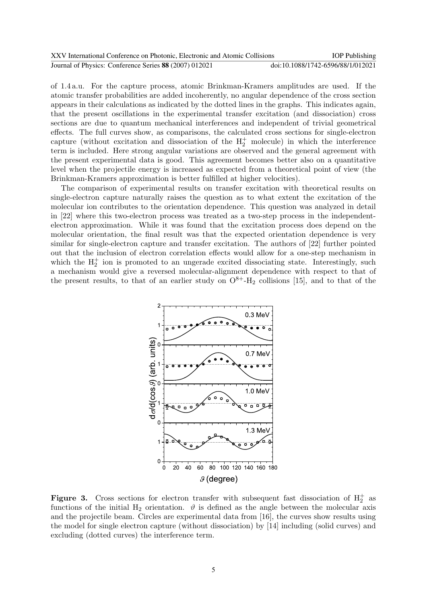| XXV International Conference on Photonic, Electronic and Atomic Collisions | <b>IOP</b> Publishing             |
|----------------------------------------------------------------------------|-----------------------------------|
| Journal of Physics: Conference Series 88 (2007) 012021                     | doi:10.1088/1742-6596/88/1/012021 |

of 1.4 a.u. For the capture process, atomic Brinkman-Kramers amplitudes are used. If the atomic transfer probabilities are added incoherently, no angular dependence of the cross section appears in their calculations as indicated by the dotted lines in the graphs. This indicates again, that the present oscillations in the experimental transfer excitation (and dissociation) cross sections are due to quantum mechanical interferences and independent of trivial geometrical effects. The full curves show, as comparisons, the calculated cross sections for single-electron capture (without excitation and dissociation of the  $H_2^+$  molecule) in which the interference term is included. Here strong angular variations are observed and the general agreement with the present experimental data is good. This agreement becomes better also on a quantitative level when the projectile energy is increased as expected from a theoretical point of view (the Brinkman-Kramers approximation is better fulfilled at higher velocities).

The comparison of experimental results on transfer excitation with theoretical results on single-electron capture naturally raises the question as to what extent the excitation of the molecular ion contributes to the orientation dependence. This question was analyzed in detail in [22] where this two-electron process was treated as a two-step process in the independentelectron approximation. While it was found that the excitation process does depend on the molecular orientation, the final result was that the expected orientation dependence is very similar for single-electron capture and transfer excitation. The authors of [22] further pointed out that the inclusion of electron correlation effects would allow for a one-step mechanism in which the  $H_2^+$  ion is promoted to an ungerade excited dissociating state. Interestingly, such a mechanism would give a reversed molecular-alignment dependence with respect to that of the present results, to that of an earlier study on  $O^{8+}$ -H<sub>2</sub> collisions [15], and to that of the



**Figure 3.** Cross sections for electron transfer with subsequent fast dissociation of  $H_2^+$  as functions of the initial  $H_2$  orientation.  $\vartheta$  is defined as the angle between the molecular axis and the projectile beam. Circles are experimental data from [16], the curves show results using the model for single electron capture (without dissociation) by [14] including (solid curves) and excluding (dotted curves) the interference term.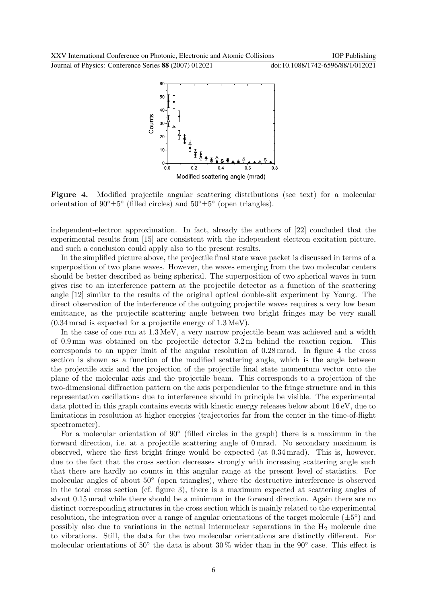Journal of Physics: Conference Series **88** (2007) 012021 doi:10.1088/1742-6596/88/1/012021



Figure 4. Modified projectile angular scattering distributions (see text) for a molecular orientation of  $90^{\circ} \pm 5^{\circ}$  (filled circles) and  $50^{\circ} \pm 5^{\circ}$  (open triangles).

independent-electron approximation. In fact, already the authors of [22] concluded that the experimental results from [15] are consistent with the independent electron excitation picture, and such a conclusion could apply also to the present results.

In the simplified picture above, the projectile final state wave packet is discussed in terms of a superposition of two plane waves. However, the waves emerging from the two molecular centers should be better described as being spherical. The superposition of two spherical waves in turn gives rise to an interference pattern at the projectile detector as a function of the scattering angle [12] similar to the results of the original optical double-slit experiment by Young. The direct observation of the interference of the outgoing projectile waves requires a very low beam emittance, as the projectile scattering angle between two bright fringes may be very small (0.34 mrad is expected for a projectile energy of 1.3 MeV).

In the case of one run at 1.3 MeV, a very narrow projectile beam was achieved and a width of 0.9 mm was obtained on the projectile detector 3.2 m behind the reaction region. This corresponds to an upper limit of the angular resolution of 0.28 mrad. In figure 4 the cross section is shown as a function of the modified scattering angle, which is the angle between the projectile axis and the projection of the projectile final state momentum vector onto the plane of the molecular axis and the projectile beam. This corresponds to a projection of the two-dimensional diffraction pattern on the axis perpendicular to the fringe structure and in this representation oscillations due to interference should in principle be visible. The experimental data plotted in this graph contains events with kinetic energy releases below about 16 eV, due to limitations in resolution at higher energies (trajectories far from the center in the time-of-flight spectrometer).

For a molecular orientation of 90° (filled circles in the graph) there is a maximum in the forward direction, i.e. at a projectile scattering angle of 0 mrad. No secondary maximum is observed, where the first bright fringe would be expected (at 0.34 mrad). This is, however, due to the fact that the cross section decreases strongly with increasing scattering angle such that there are hardly no counts in this angular range at the present level of statistics. For molecular angles of about 50◦ (open triangles), where the destructive interference is observed in the total cross section (cf. figure 3), there is a maximum expected at scattering angles of about 0.15 mrad while there should be a minimum in the forward direction. Again there are no distinct corresponding structures in the cross section which is mainly related to the experimental resolution, the integration over a range of angular orientations of the target molecule  $(\pm 5^{\circ})$  and possibly also due to variations in the actual internuclear separations in the  $H_2$  molecule due to vibrations. Still, the data for the two molecular orientations are distinctly different. For molecular orientations of 50° the data is about 30% wider than in the 90° case. This effect is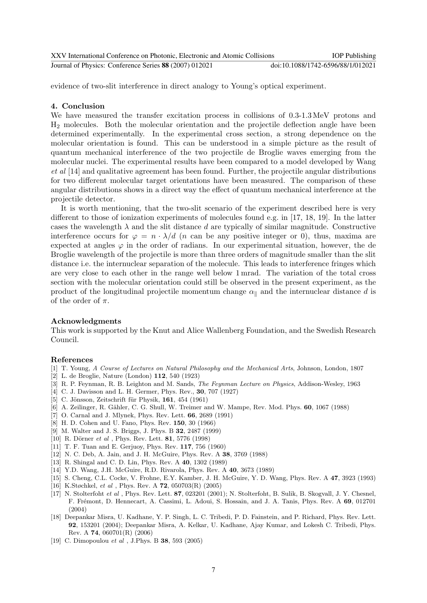| XXV International Conference on Photonic. Electronic and Atomic Collisions | <b>IOP</b> Publishing             |
|----------------------------------------------------------------------------|-----------------------------------|
| Journal of Physics: Conference Series 88 (2007) 012021                     | doi:10.1088/1742-6596/88/1/012021 |

evidence of two-slit interference in direct analogy to Young's optical experiment.

#### 4. Conclusion

We have measured the transfer excitation process in collisions of  $0.3{\text -}1.3\,\text{MeV}$  protons and H<sup>2</sup> molecules. Both the molecular orientation and the projectile deflection angle have been determined experimentally. In the experimental cross section, a strong dependence on the molecular orientation is found. This can be understood in a simple picture as the result of quantum mechanical interference of the two projectile de Broglie waves emerging from the molecular nuclei. The experimental results have been compared to a model developed by Wang et al [14] and qualitative agreement has been found. Further, the projectile angular distributions for two different molecular target orientations have been measured. The comparison of these angular distributions shows in a direct way the effect of quantum mechanical interference at the projectile detector.

It is worth mentioning, that the two-slit scenario of the experiment described here is very different to those of ionization experiments of molecules found e.g. in [17, 18, 19]. In the latter cases the wavelength  $\lambda$  and the slit distance d are typically of similar magnitude. Constructive interference occurs for  $\varphi = n \cdot \lambda/d$  (*n* can be any positive integer or 0), thus, maxima are expected at angles  $\varphi$  in the order of radians. In our experimental situation, however, the de Broglie wavelength of the projectile is more than three orders of magnitude smaller than the slit distance i.e. the internuclear separation of the molecule. This leads to interference fringes which are very close to each other in the range well below 1 mrad. The variation of the total cross section with the molecular orientation could still be observed in the present experiment, as the product of the longitudinal projectile momentum change  $\alpha_{\parallel}$  and the internuclear distance d is of the order of  $\pi$ .

#### Acknowledgments

This work is supported by the Knut and Alice Wallenberg Foundation, and the Swedish Research Council.

#### References

- [1] T. Young, A Course of Lectures on Natural Philosophy and the Mechanical Arts, Johnson, London, 1807
- [2] L. de Broglie, Nature (London) 112, 540 (1923)
- [3] R. P. Feynman, R. B. Leighton and M. Sands, The Feynman Lecture on Physics, Addison-Wesley, 1963
- [4] C. J. Davisson and L. H. Germer, Phys. Rev., 30, 707 (1927)
- [5] C. Jönsson, Zeitschrift für Physik, 161, 454 (1961)
- [6] A. Zeilinger, R. Gähler, C. G. Shull, W. Treimer and W. Mampe, Rev. Mod. Phys. **60**, 1067 (1988)
- [7] O. Carnal and J. Mlynek, Phys. Rev. Lett. 66, 2689 (1991)
- [8] H. D. Cohen and U. Fano, Phys. Rev. 150, 30 (1966)
- [9] M. Walter and J. S. Briggs, J. Phys. B 32, 2487 (1999)
- [10] R. Dörner et al , Phys. Rev. Lett. **81**, 5776 (1998)
- [11] T. F. Tuan and E. Gerjuoy, Phys. Rev. 117, 756 (1960)
- [12] N. C. Deb, A. Jain, and J. H. McGuire, Phys. Rev. A 38, 3769 (1988)
- [13] R. Shingal and C. D. Lin, Phys. Rev. A 40, 1302 (1989)
- [14] Y.D. Wang, J.H. McGuire, R.D. Rivarola, Phys. Rev. A 40, 3673 (1989)
- [15] S. Cheng, C.L. Cocke, V. Frohne, E.Y. Kamber, J. H. McGuire, Y. D. Wang, Phys. Rev. A 47, 3923 (1993) [16] K.Støchkel, et al , Phys. Rev. A 72, 050703(R) (2005)
- [17] N. Stolterfoht et al , Phys. Rev. Lett. 87, 023201 (2001); N. Stolterfoht, B. Sulik, B. Skogvall, J. Y. Chesnel, F. Frémont, D. Hennecart, A. Cassimi, L. Adoui, S. Hossain, and J. A. Tanis, Phys. Rev. A 69, 012701 (2004)
- [18] Deepankar Misra, U. Kadhane, Y. P. Singh, L. C. Tribedi, P. D. Fainstein, and P. Richard, Phys. Rev. Lett. 92, 153201 (2004); Deepankar Misra, A. Kelkar, U. Kadhane, Ajay Kumar, and Lokesh C. Tribedi, Phys. Rev. A 74, 060701(R) (2006)
- [19] C. Dimopoulou *et al*, J.Phys. B **38**, 593 (2005)